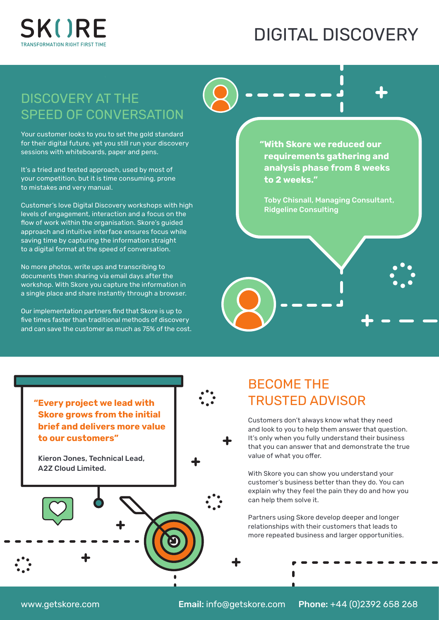

## DIGITAL DISCOVERY

#### DISCOVERY AT THE SPEED OF CONVERSATION

Your customer looks to you to set the gold standard for their digital future, yet you still run your discovery sessions with whiteboards, paper and pens.

It's a tried and tested approach, used by most of your competition, but it is time consuming, prone to mistakes and very manual.

Customer's love Digital Discovery workshops with high levels of engagement, interaction and a focus on the flow of work within the organisation. Skore's guided approach and intuitive interface ensures focus while saving time by capturing the information straight to a digital format at the speed of conversation.

No more photos, write ups and transcribing to documents then sharing via email days after the workshop. With Skore you capture the information in a single place and share instantly through a browser.

Our implementation partners find that Skore is up to five times faster than traditional methods of discovery and can save the customer as much as 75% of the cost. **"With Skore we reduced our requirements gathering and analysis phase from 8 weeks to 2 weeks."**

Toby Chisnall, Managing Consultant, Ridgeline Consulting

# BECOME THE TRUSTED ADVISOR

Customers don't always know what they need and look to you to help them answer that question. It's only when you fully understand their business that you can answer that and demonstrate the true value of what you offer.

With Skore you can show you understand your customer's business better than they do. You can explain why they feel the pain they do and how you can help them solve it.

Partners using Skore develop deeper and longer relationships with their customers that leads to more repeated business and larger opportunities.

**"Every project we lead with Skore grows from the initial brief and delivers more value to our customers"**

Kieron Jones, Technical Lead, A2Z Cloud Limited.